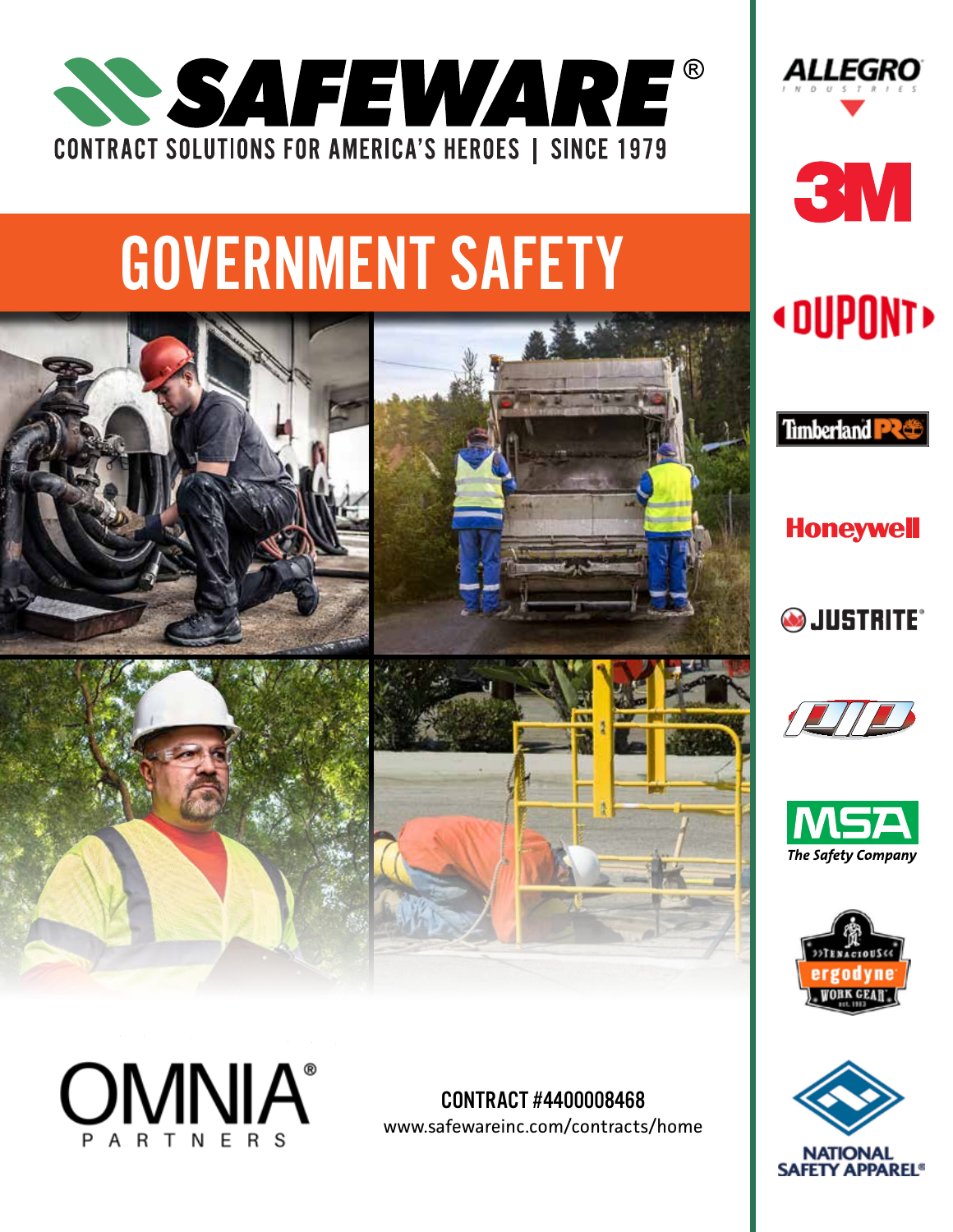

# GOVERNMENT SAFETY





CONTRACT #4400008468 www.safewareinc.com/contracts/home









**Honeywell SJUSTRITE®**